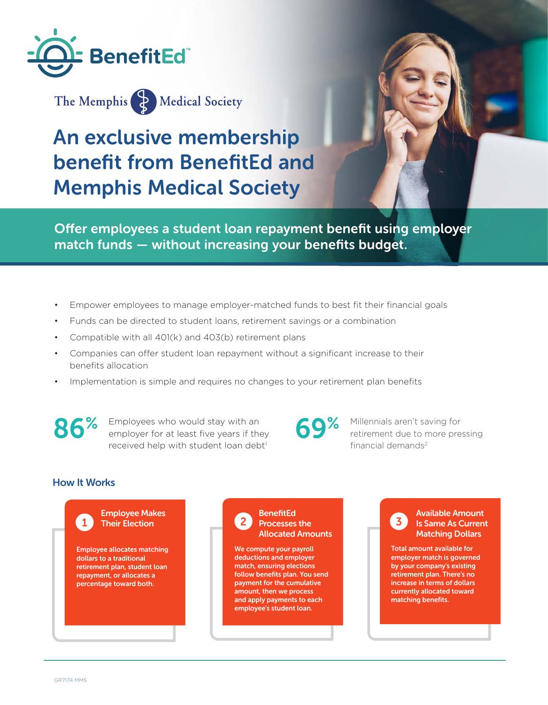



# An exclusive membership benefit from BenefitEd and Memphis Medical Society

Offer employees a student loan repayment benefit using employer match funds — without increasing your benefits budget.

- Empower employees to manage employer-matched funds to best fit their financial goals
- Funds can be directed to student loans, retirement savings or a combination
- Compatible with all 401(k) and 403(b) retirement plans
- Companies can offer student loan repayment without a significant increase to their benefits allocation
- Implementation is simple and requires no changes to your retirement plan benefits

86% Employees who would stay with an employer for at least five years if they received help with student loan debt<sup>1</sup>

69% Millennials aren't saving for retirement due to more pressing financial demands<sup>2</sup>

#### How It Works



**BenefitEd** Processes the Allocated Amounts

We compute your payroll deductions and employer match, ensuring elections follow benefits plan. You send payment for the cumulative amount, then we process and apply payments to each employee's student loan.



Total amount available for employer match is governed by your company's existing retirement plan. There's no increase in terms of dollars currently allocated toward matching benefits.